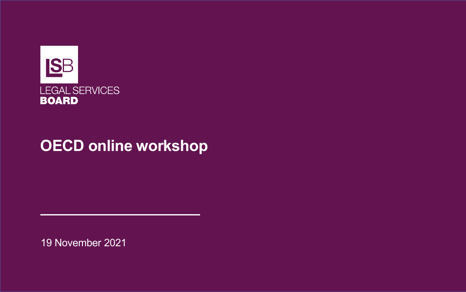

#### **OECD online workshop**

19 November 2021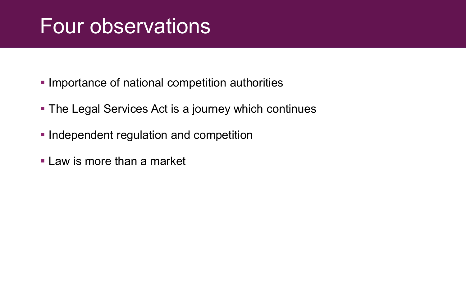## Four observations

- **Importance of national competition authorities**
- **The Legal Services Act is a journey which continues**
- **Independent regulation and competition**
- **Law is more than a market**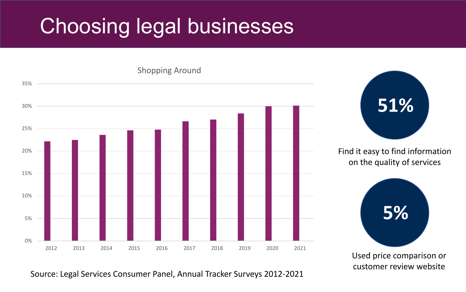# Choosing legal businesses



Used price comparison or customer review website

Source: Legal Services Consumer Panel, Annual Tracker Surveys 2012-2021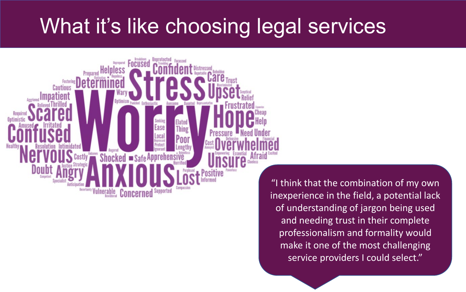### What it's like choosing legal services



"I think that the combination of my own inexperience in the field, a potential lack of understanding of jargon being used and needing trust in their complete professionalism and formality would make it one of the most challenging service providers I could select."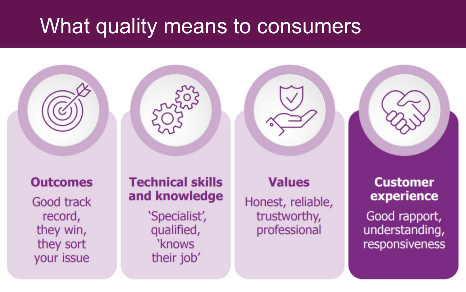#### What quality means to consumers